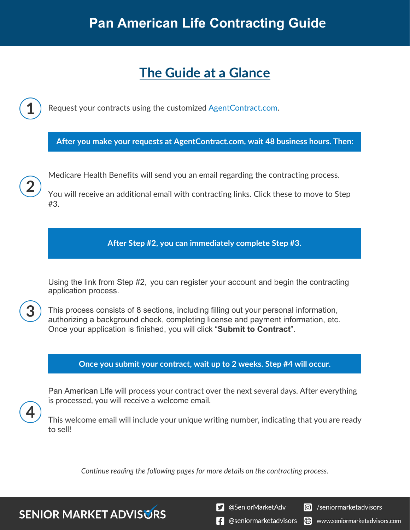# **The Guide at a Glance**

Request your contracts using the customized [AgentContract.com.](http://agentcontracting.com/)

**After you make your requests at AgentContract.com, wait 48 business hours. Then:**

Medicare Health Benefits will send you an email regarding the contracting process.

You will receive an additional email with contracting links. Click these to move to Step #3.

**After Step #2, you can immediately complete Step #3.**

Using the link from Step #2, you can register your account and begin the contracting application process.

This process consists of 8 sections, including filling out your personal information, authorizing a background check, completing license and payment information, etc. Once your application is finished, you will click "**Submit to Contract**".

### **Once you submit your contract, wait up to 2 weeks. Step #4 will occur.**

Pan American Life will process your contract over the next several days. After everything is processed, you will receive a welcome email.

This welcome email will include your unique writing number, indicating that you are ready to sell!

*Continue reading the following pages for more details on the contracting process.*

**SENIOR MARKET ADVISURS** 

S @SeniorMarketAdv

C /seniormarketadvisors

**1** @seniormarketadvisors (.) www.seniormarketadvisors.com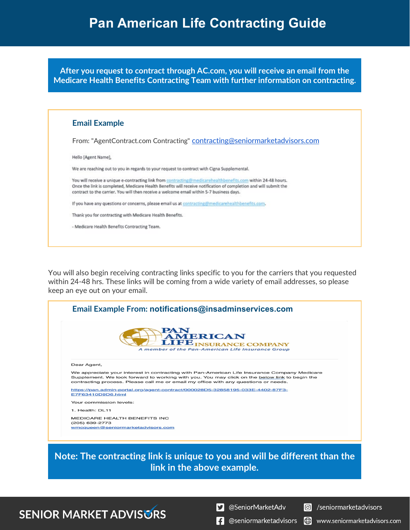# **Pan American Life Contracting Guide**

**After you request to contract through AC.com, you will receive an email from the Medicare Health Benefits Contracting Team with further information on contracting.**

| <b>Email Example</b>                                                                                                                                                                                                                                                                                                         |
|------------------------------------------------------------------------------------------------------------------------------------------------------------------------------------------------------------------------------------------------------------------------------------------------------------------------------|
| From: "AgentContract.com Contracting" contracting@seniormarketadvisors.com                                                                                                                                                                                                                                                   |
| Hello [Agent Name],                                                                                                                                                                                                                                                                                                          |
| We are reaching out to you in regards to your request to contract with Cigna Supplemental.                                                                                                                                                                                                                                   |
| You will receive a unique e-contracting link from contracting@medicarehealthbenefits.com within 24-48 hours.<br>Once the link is completed, Medicare Health Benefits will receive notification of completion and will submit the<br>contract to the carrier. You will then receive a welcome email within 5-7 business days. |
| If you have any questions or concerns, please email us at contracting@medicarehealthbenefits.com.                                                                                                                                                                                                                            |
| Thank you for contracting with Medicare Health Benefits.                                                                                                                                                                                                                                                                     |
| - Medicare Health Benefits Contracting Team.                                                                                                                                                                                                                                                                                 |

You will also begin receiving contracting links specific to you for the carriers that you requested within 24-48 hrs. These links will be coming from a wide variety of email addresses, so please keep an eye out on your email.



**Note: The contracting link is unique to you and will be different than the link in the above example.**

## **SENIOR MARKET ADVISURS**

S @SeniorMarketAdv

/seniormarketadvisors  $\circledcirc$ 

www.seniormarketadvisors.com

Ð

 $\left| \cdot \right|$  @seniormarketadvisors